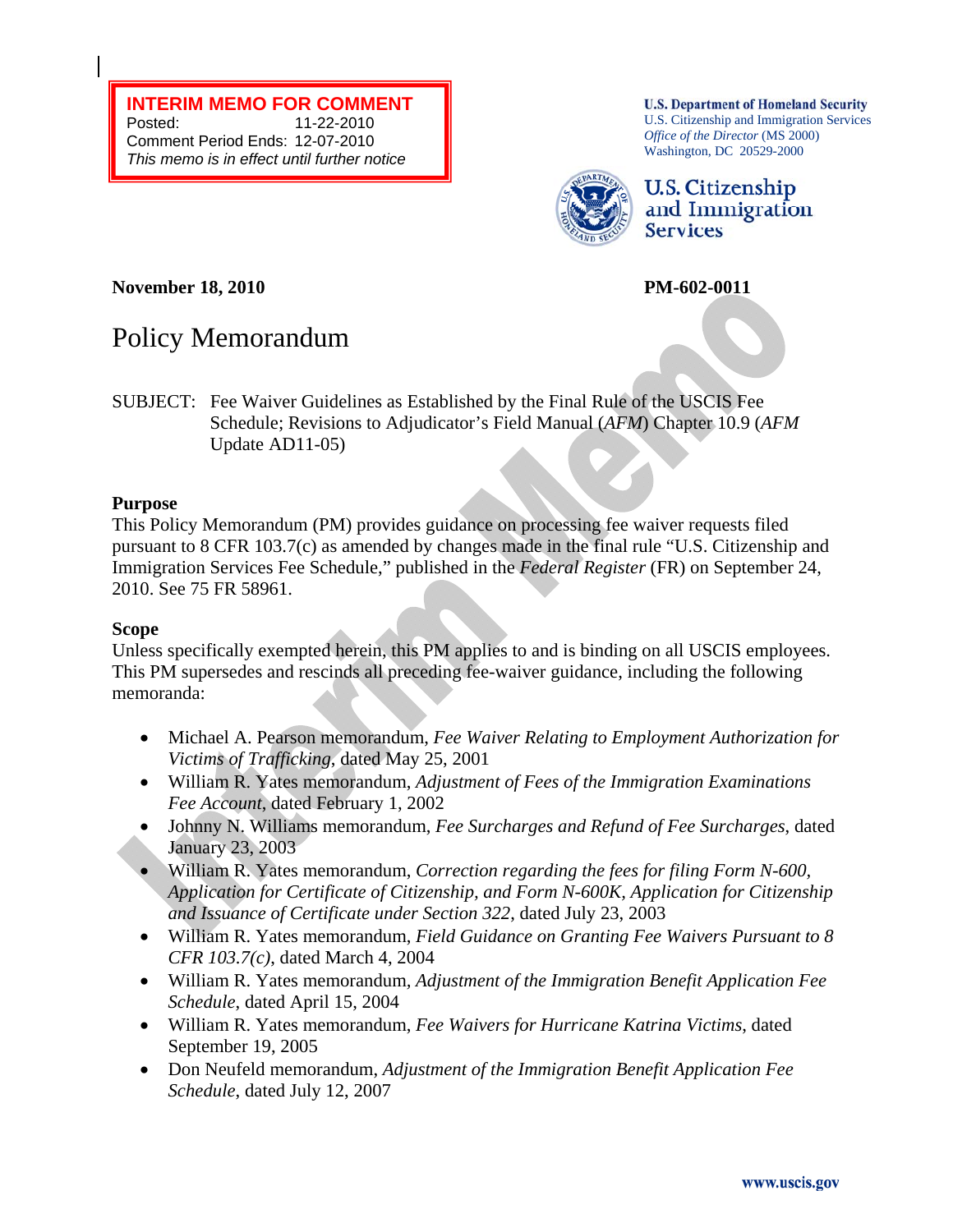#### **INTERIM MEMO FOR COMMENT**  Posted: 11-22-2010 Comment Period Ends: 12-07-2010 *This memo is in effect until further notice*

**U.S. Department of Homeland Security** U.S. Citizenship and Immigration Services *Office of the Director* (MS 2000) Washington, DC 20529-2000



**U.S. Citizenship** and Immigration **Services** 

## **November 18, 2010 PM-602-0011**

# Policy Memorandum

SUBJECT: Fee Waiver Guidelines as Established by the Final Rule of the USCIS Fee Schedule; Revisions to Adjudicator's Field Manual (*AFM*) Chapter 10.9 (*AFM*  Update AD11-05)

#### **Purpose**

This Policy Memorandum (PM) provides guidance on processing fee waiver requests filed pursuant to 8 CFR 103.7(c) as amended by changes made in the final rule "U.S. Citizenship and Immigration Services Fee Schedule," published in the *Federal Register* (FR) on September 24, 2010. See 75 FR 58961.

#### **Scope**

Unless specifically exempted herein, this PM applies to and is binding on all USCIS employees. This PM supersedes and rescinds all preceding fee-waiver guidance, including the following memoranda:

- Michael A. Pearson memorandum, *Fee Waiver Relating to Employment Authorization for Victims of Trafficking*, dated May 25, 2001
- William R. Yates memorandum, *Adjustment of Fees of the Immigration Examinations Fee Account*, dated February 1, 2002
- Johnny N. Williams memorandum, *Fee Surcharges and Refund of Fee Surcharges*, dated January 23, 2003
- William R. Yates memorandum, *Correction regarding the fees for filing Form N-600, Application for Certificate of Citizenship, and Form N-600K, Application for Citizenship and Issuance of Certificate under Section 322*, dated July 23, 2003
- William R. Yates memorandum, *Field Guidance on Granting Fee Waivers Pursuant to 8 CFR 103.7(c)*, dated March 4, 2004
- William R. Yates memorandum*, Adjustment of the Immigration Benefit Application Fee Schedule*, dated April 15, 2004
- William R. Yates memorandum, *Fee Waivers for Hurricane Katrina Victims*, dated September 19, 2005
- Don Neufeld memorandum, *Adjustment of the Immigration Benefit Application Fee Schedule*, dated July 12, 2007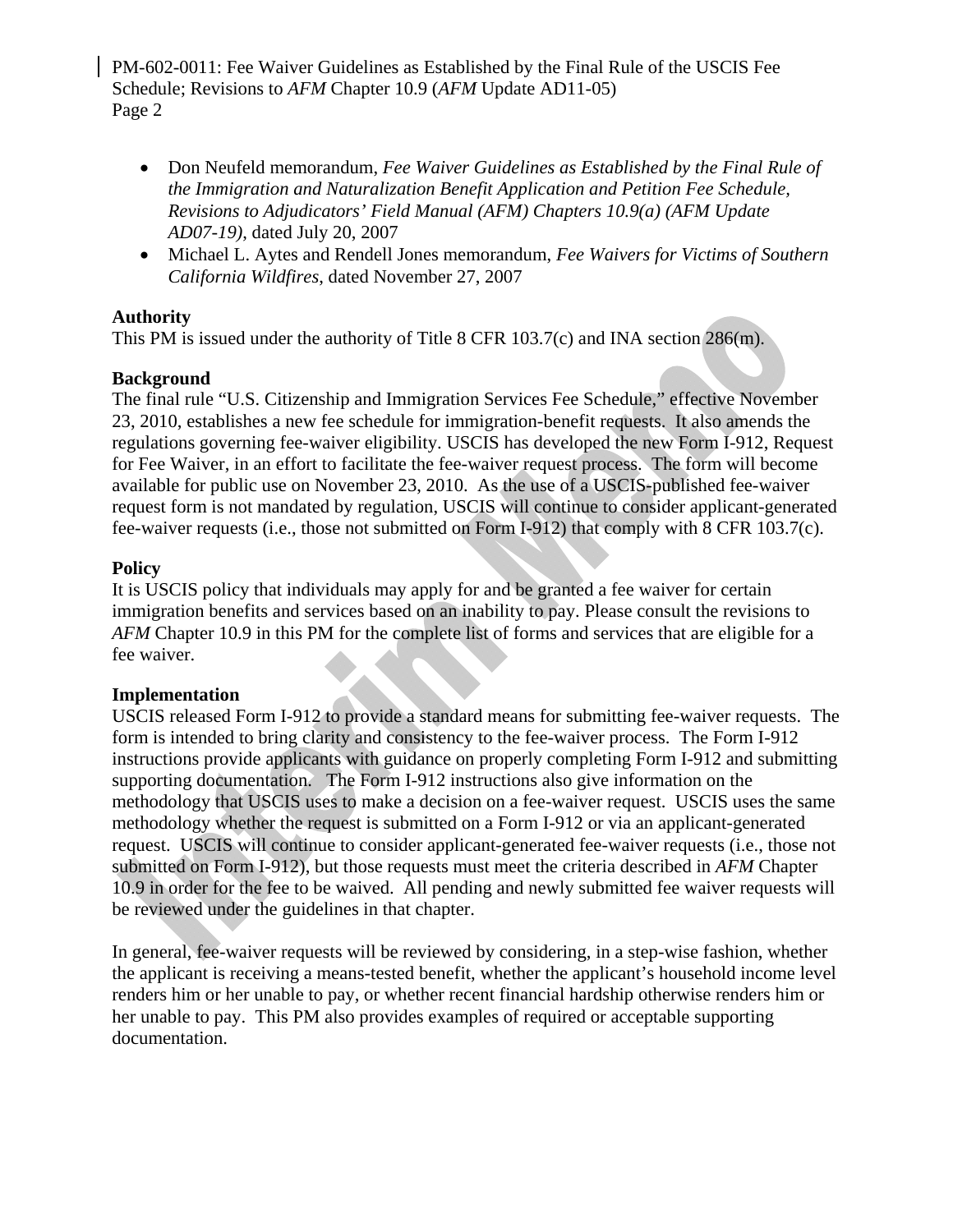- Don Neufeld memorandum, *Fee Waiver Guidelines as Established by the Final Rule of the Immigration and Naturalization Benefit Application and Petition Fee Schedule, Revisions to Adjudicators' Field Manual (AFM) Chapters 10.9(a) (AFM Update AD07-19)*, dated July 20, 2007
- Michael L. Aytes and Rendell Jones memorandum, *Fee Waivers for Victims of Southern California Wildfires*, dated November 27, 2007

#### **Authority**

This PM is issued under the authority of Title 8 CFR 103.7(c) and INA section 286(m).

#### **Background**

The final rule "U.S. Citizenship and Immigration Services Fee Schedule," effective November 23, 2010, establishes a new fee schedule for immigration-benefit requests. It also amends the regulations governing fee-waiver eligibility. USCIS has developed the new Form I-912, Request for Fee Waiver, in an effort to facilitate the fee-waiver request process. The form will become available for public use on November 23, 2010. As the use of a USCIS-published fee-waiver request form is not mandated by regulation, USCIS will continue to consider applicant-generated fee-waiver requests (i.e., those not submitted on Form I-912) that comply with 8 CFR 103.7(c).

#### **Policy**

It is USCIS policy that individuals may apply for and be granted a fee waiver for certain immigration benefits and services based on an inability to pay. Please consult the revisions to *AFM* Chapter 10.9 in this PM for the complete list of forms and services that are eligible for a fee waiver.

#### **Implementation**

USCIS released Form I-912 to provide a standard means for submitting fee-waiver requests. The form is intended to bring clarity and consistency to the fee-waiver process. The Form I-912 instructions provide applicants with guidance on properly completing Form I-912 and submitting supporting documentation. The Form I-912 instructions also give information on the methodology that USCIS uses to make a decision on a fee-waiver request. USCIS uses the same methodology whether the request is submitted on a Form I-912 or via an applicant-generated request. USCIS will continue to consider applicant-generated fee-waiver requests (i.e., those not submitted on Form I-912), but those requests must meet the criteria described in *AFM* Chapter 10.9 in order for the fee to be waived. All pending and newly submitted fee waiver requests will be reviewed under the guidelines in that chapter.

In general, fee-waiver requests will be reviewed by considering, in a step-wise fashion, whether the applicant is receiving a means-tested benefit, whether the applicant's household income level renders him or her unable to pay, or whether recent financial hardship otherwise renders him or her unable to pay. This PM also provides examples of required or acceptable supporting documentation.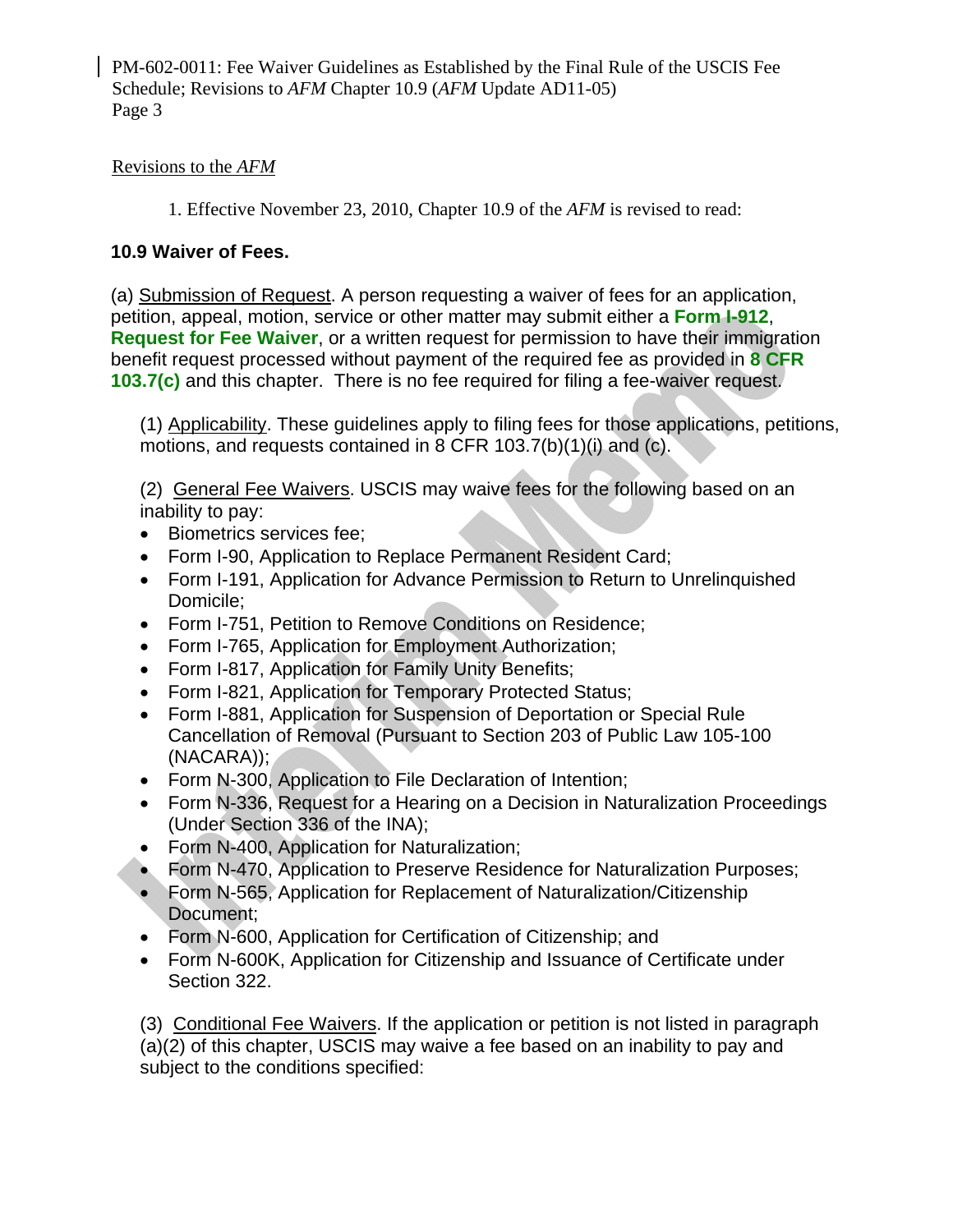#### Revisions to the *AFM*

1. Effective November 23, 2010, Chapter 10.9 of the *AFM* is revised to read:

## **10.9 Waiver of Fees.**

(a) Submission of Request. A person requesting a waiver of fees for an application, petition, appeal, motion, service or other matter may submit either a **Form I-912**, **Request for Fee Waiver**, or a written request for permission to have their immigration benefit request processed without payment of the required fee as provided in **8 CFR 103.7(c)** and this chapter. There is no fee required for filing a fee-waiver request.

(1) Applicability. These guidelines apply to filing fees for those applications, petitions, motions, and requests contained in 8 CFR 103.7(b)(1)(i) and (c).

(2) General Fee Waivers. USCIS may waive fees for the following based on an inability to pay:

- Biometrics services fee;
- Form I-90, Application to Replace Permanent Resident Card;
- Form I-191, Application for Advance Permission to Return to Unrelinquished Domicile;
- Form I-751, Petition to Remove Conditions on Residence;
- Form I-765, Application for Employment Authorization;
- Form I-817, Application for Family Unity Benefits;
- Form I-821, Application for Temporary Protected Status;
- Form I-881, Application for Suspension of Deportation or Special Rule Cancellation of Removal (Pursuant to Section 203 of Public Law 105-100  $(NACARA)$ ;
- Form N-300, Application to File Declaration of Intention;
- Form N-336, Request for a Hearing on a Decision in Naturalization Proceedings (Under Section 336 of the INA);
- Form N-400, Application for Naturalization;
- Form N-470, Application to Preserve Residence for Naturalization Purposes;
- Form N-565, Application for Replacement of Naturalization/Citizenship Document;
- Form N-600, Application for Certification of Citizenship; and
- Form N-600K, Application for Citizenship and Issuance of Certificate under Section 322.

(3) Conditional Fee Waivers. If the application or petition is not listed in paragraph (a)(2) of this chapter, USCIS may waive a fee based on an inability to pay and subject to the conditions specified: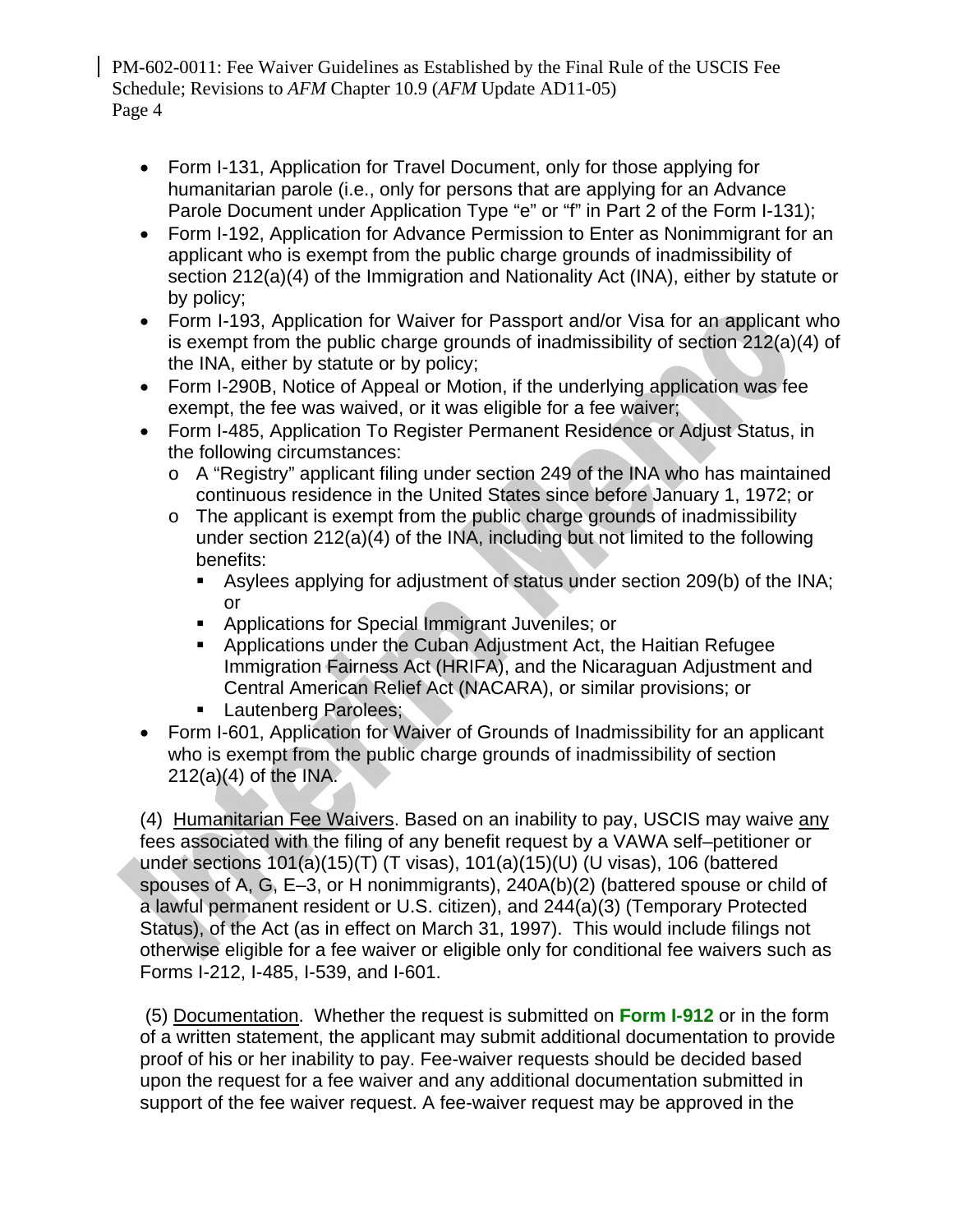- Form I-131, Application for Travel Document, only for those applying for humanitarian parole (i.e., only for persons that are applying for an Advance Parole Document under Application Type "e" or "f" in Part 2 of the Form I-131);
- Form I-192, Application for Advance Permission to Enter as Nonimmigrant for an applicant who is exempt from the public charge grounds of inadmissibility of section 212(a)(4) of the Immigration and Nationality Act (INA), either by statute or by policy;
- Form I-193, Application for Waiver for Passport and/or Visa for an applicant who is exempt from the public charge grounds of inadmissibility of section 212(a)(4) of the INA, either by statute or by policy;
- Form I-290B, Notice of Appeal or Motion, if the underlying application was fee exempt, the fee was waived, or it was eligible for a fee waiver;
- Form I-485, Application To Register Permanent Residence or Adjust Status, in the following circumstances:
	- o A "Registry" applicant filing under section 249 of the INA who has maintained continuous residence in the United States since before January 1, 1972; or
	- o The applicant is exempt from the public charge grounds of inadmissibility under section 212(a)(4) of the INA, including but not limited to the following benefits:
		- Asylees applying for adjustment of status under section 209(b) of the INA; or
		- **Applications for Special Immigrant Juveniles; or**
		- Applications under the Cuban Adjustment Act, the Haitian Refugee Immigration Fairness Act (HRIFA), and the Nicaraguan Adjustment and Central American Relief Act (NACARA), or similar provisions; or
		- **Lautenberg Parolees;**
- Form I-601, Application for Waiver of Grounds of Inadmissibility for an applicant who is exempt from the public charge grounds of inadmissibility of section 212(a)(4) of the INA.

(4) Humanitarian Fee Waivers. Based on an inability to pay, USCIS may waive any fees associated with the filing of any benefit request by a VAWA self–petitioner or under sections 101(a)(15)(T) (T visas), 101(a)(15)(U) (U visas), 106 (battered spouses of A, G, E–3, or H nonimmigrants), 240A(b)(2) (battered spouse or child of a lawful permanent resident or U.S. citizen), and 244(a)(3) (Temporary Protected Status), of the Act (as in effect on March 31, 1997). This would include filings not otherwise eligible for a fee waiver or eligible only for conditional fee waivers such as Forms I-212, I-485, I-539, and I-601.

 (5) Documentation. Whether the request is submitted on **Form I-912** or in the form of a written statement, the applicant may submit additional documentation to provide proof of his or her inability to pay. Fee-waiver requests should be decided based upon the request for a fee waiver and any additional documentation submitted in support of the fee waiver request. A fee-waiver request may be approved in the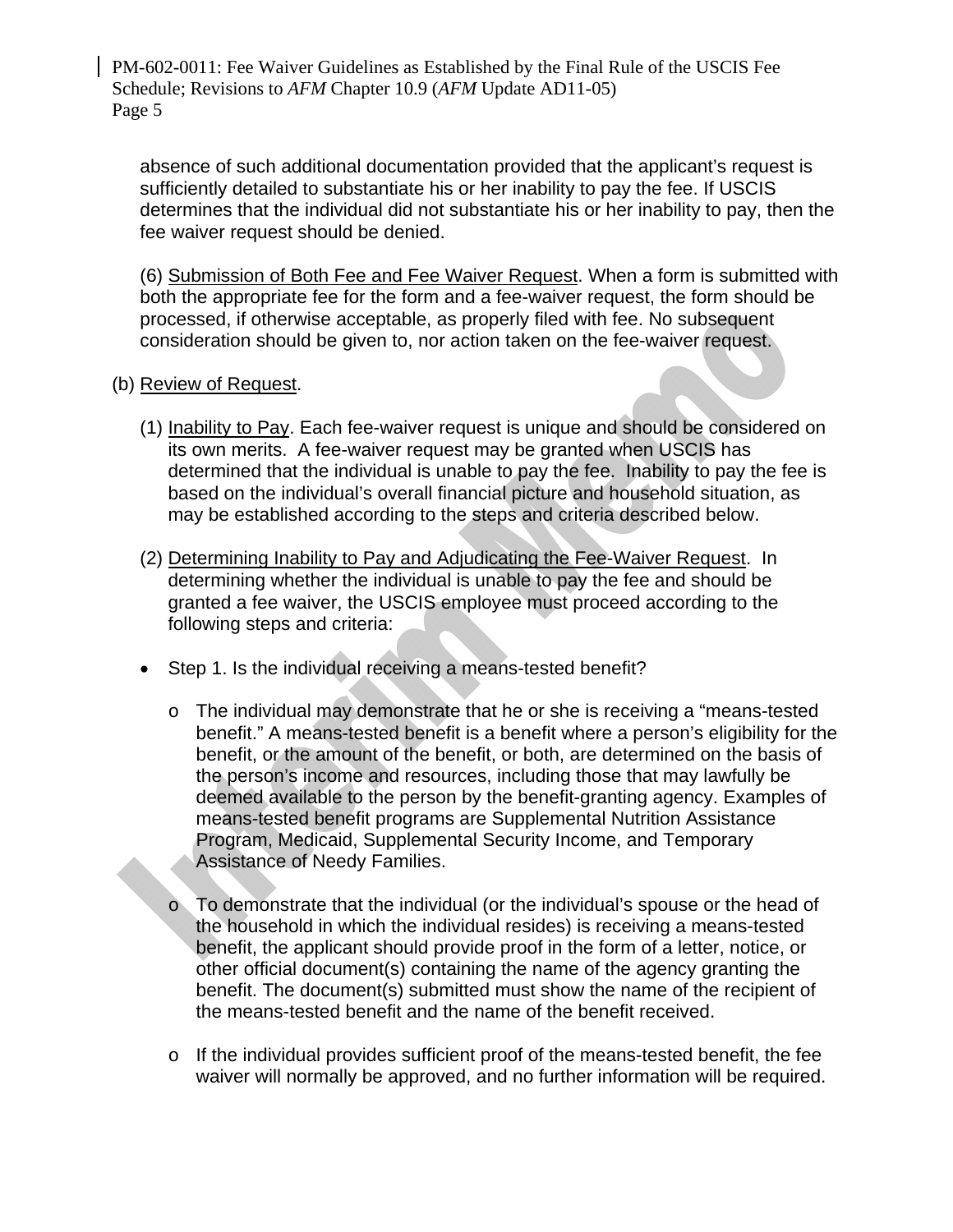absence of such additional documentation provided that the applicant's request is sufficiently detailed to substantiate his or her inability to pay the fee. If USCIS determines that the individual did not substantiate his or her inability to pay, then the fee waiver request should be denied.

(6) Submission of Both Fee and Fee Waiver Request. When a form is submitted with both the appropriate fee for the form and a fee-waiver request, the form should be processed, if otherwise acceptable, as properly filed with fee. No subsequent consideration should be given to, nor action taken on the fee-waiver request.

- (b) Review of Request.
	- (1) Inability to Pay. Each fee-waiver request is unique and should be considered on its own merits. A fee-waiver request may be granted when USCIS has determined that the individual is unable to pay the fee. Inability to pay the fee is based on the individual's overall financial picture and household situation, as may be established according to the steps and criteria described below.
	- (2) Determining Inability to Pay and Adjudicating the Fee-Waiver Request. In determining whether the individual is unable to pay the fee and should be granted a fee waiver, the USCIS employee must proceed according to the following steps and criteria:
	- Step 1. Is the individual receiving a means-tested benefit?
		- o The individual may demonstrate that he or she is receiving a "means-tested benefit." A means-tested benefit is a benefit where a person's eligibility for the benefit, or the amount of the benefit, or both, are determined on the basis of the person's income and resources, including those that may lawfully be deemed available to the person by the benefit-granting agency. Examples of means-tested benefit programs are Supplemental Nutrition Assistance Program, Medicaid, Supplemental Security Income, and Temporary Assistance of Needy Families.
		- $\circ$  To demonstrate that the individual (or the individual's spouse or the head of the household in which the individual resides) is receiving a means-tested benefit, the applicant should provide proof in the form of a letter, notice, or other official document(s) containing the name of the agency granting the benefit. The document(s) submitted must show the name of the recipient of the means-tested benefit and the name of the benefit received.
		- o If the individual provides sufficient proof of the means-tested benefit, the fee waiver will normally be approved, and no further information will be required.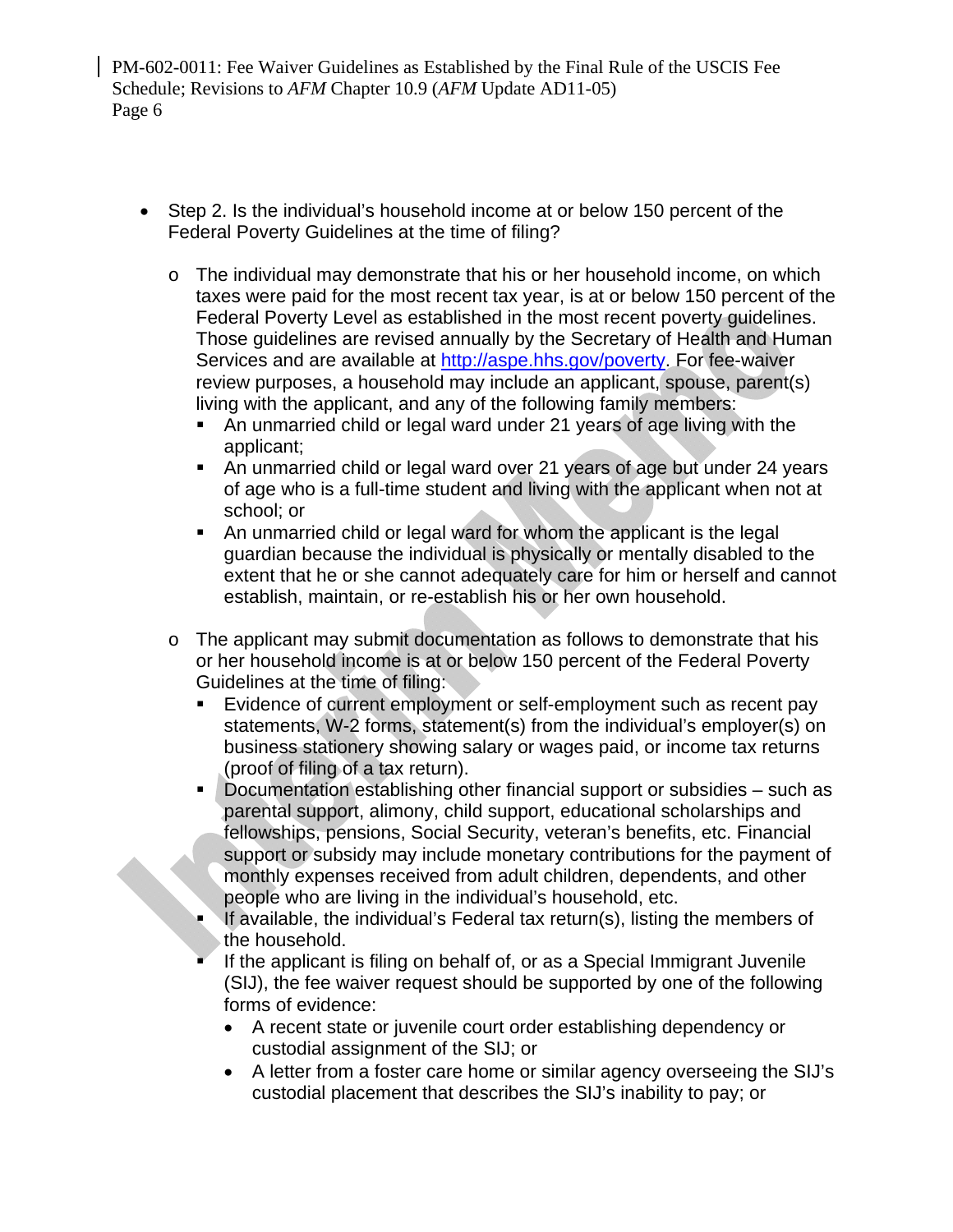- Step 2. Is the individual's household income at or below 150 percent of the Federal Poverty Guidelines at the time of filing?
	- o The individual may demonstrate that his or her household income, on which taxes were paid for the most recent tax year, is at or below 150 percent of the Federal Poverty Level as established in the most recent poverty guidelines. Those guidelines are revised annually by the Secretary of Health and Human Services and are available at [http://aspe.hhs.gov/poverty.](http://aspe.hhs.gov/poverty) For fee-waiver review purposes, a household may include an applicant, spouse, parent(s) living with the applicant, and any of the following family members:
		- An unmarried child or legal ward under 21 years of age living with the applicant;
		- An unmarried child or legal ward over 21 years of age but under 24 years of age who is a full-time student and living with the applicant when not at school; or
		- An unmarried child or legal ward for whom the applicant is the legal guardian because the individual is physically or mentally disabled to the extent that he or she cannot adequately care for him or herself and cannot establish, maintain, or re-establish his or her own household.
	- o The applicant may submit documentation as follows to demonstrate that his or her household income is at or below 150 percent of the Federal Poverty Guidelines at the time of filing:
		- Evidence of current employment or self-employment such as recent pay statements, W-2 forms, statement(s) from the individual's employer(s) on business stationery showing salary or wages paid, or income tax returns (proof of filing of a tax return).
		- Documentation establishing other financial support or subsidies such as parental support, alimony, child support, educational scholarships and fellowships, pensions, Social Security, veteran's benefits, etc. Financial support or subsidy may include monetary contributions for the payment of monthly expenses received from adult children, dependents, and other people who are living in the individual's household, etc.
		- If available, the individual's Federal tax return(s), listing the members of the household.
		- If the applicant is filing on behalf of, or as a Special Immigrant Juvenile (SIJ), the fee waiver request should be supported by one of the following forms of evidence:
			- A recent state or juvenile court order establishing dependency or custodial assignment of the SIJ; or
			- A letter from a foster care home or similar agency overseeing the SIJ's custodial placement that describes the SIJ's inability to pay; or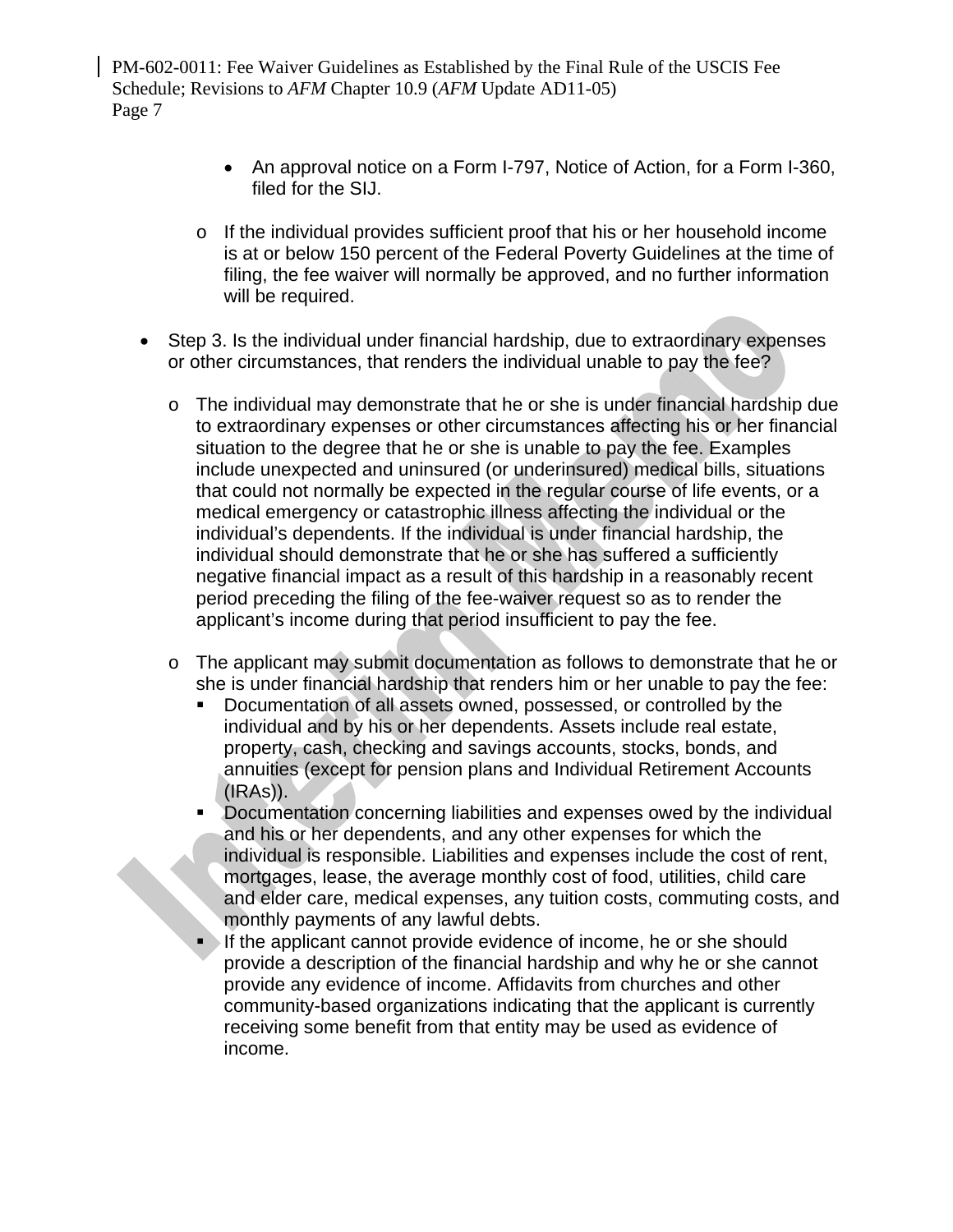- An approval notice on a Form I-797, Notice of Action, for a Form I-360, filed for the SIJ.
- o If the individual provides sufficient proof that his or her household income is at or below 150 percent of the Federal Poverty Guidelines at the time of filing, the fee waiver will normally be approved, and no further information will be required.
- Step 3. Is the individual under financial hardship, due to extraordinary expenses or other circumstances, that renders the individual unable to pay the fee?
	- $\circ$  The individual may demonstrate that he or she is under financial hardship due to extraordinary expenses or other circumstances affecting his or her financial situation to the degree that he or she is unable to pay the fee. Examples include unexpected and uninsured (or underinsured) medical bills, situations that could not normally be expected in the regular course of life events, or a medical emergency or catastrophic illness affecting the individual or the individual's dependents. If the individual is under financial hardship, the individual should demonstrate that he or she has suffered a sufficiently negative financial impact as a result of this hardship in a reasonably recent period preceding the filing of the fee-waiver request so as to render the applicant's income during that period insufficient to pay the fee.
	- o The applicant may submit documentation as follows to demonstrate that he or she is under financial hardship that renders him or her unable to pay the fee:
		- Documentation of all assets owned, possessed, or controlled by the individual and by his or her dependents. Assets include real estate, property, cash, checking and savings accounts, stocks, bonds, and annuities (except for pension plans and Individual Retirement Accounts (IRAs)).
		- Documentation concerning liabilities and expenses owed by the individual and his or her dependents, and any other expenses for which the individual is responsible. Liabilities and expenses include the cost of rent, mortgages, lease, the average monthly cost of food, utilities, child care and elder care, medical expenses, any tuition costs, commuting costs, and monthly payments of any lawful debts.
		- If the applicant cannot provide evidence of income, he or she should provide a description of the financial hardship and why he or she cannot provide any evidence of income. Affidavits from churches and other community-based organizations indicating that the applicant is currently receiving some benefit from that entity may be used as evidence of income.